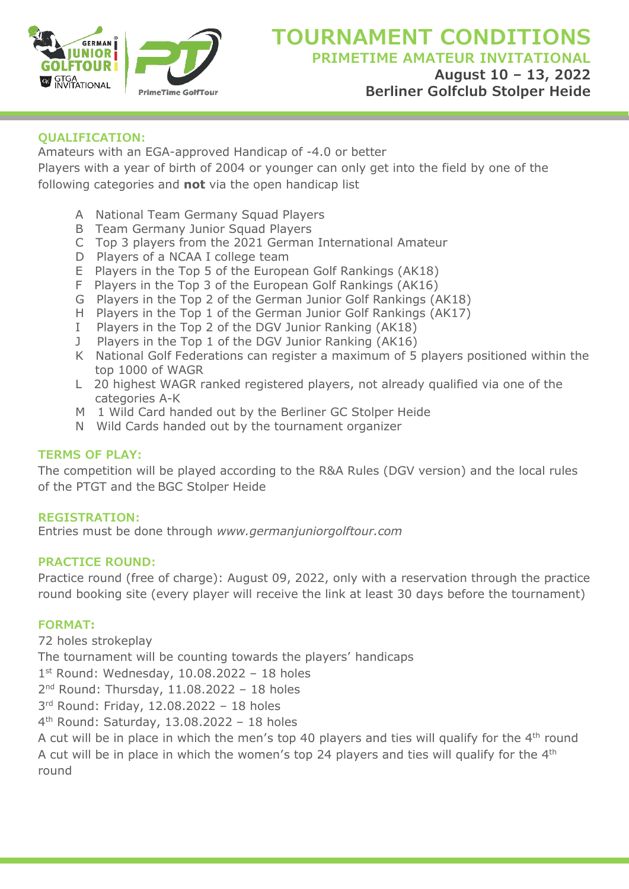

# **QUALIFICATION:**

Amateurs with an EGA-approved Handicap of -4.0 or better Players with a year of birth of 2004 or younger can only get into the field by one of the following categories and **not** via the open handicap list

- A National Team Germany Squad Players
- B Team Germany Junior Squad Players
- C Top 3 players from the 2021 German International Amateur
- D Players of a NCAA I college team
- E Players in the Top 5 of the European Golf Rankings (AK18)
- F Players in the Top 3 of the European Golf Rankings (AK16)
- G Players in the Top 2 of the German Junior Golf Rankings (AK18)
- H Players in the Top 1 of the German Junior Golf Rankings (AK17)
- I Players in the Top 2 of the DGV Junior Ranking (AK18)
- J Players in the Top 1 of the DGV Junior Ranking (AK16)
- K National Golf Federations can register a maximum of 5 players positioned within the top 1000 of WAGR
- L 20 highest WAGR ranked registered players, not already qualified via one of the categories A-K
- M 1 Wild Card handed out by the Berliner GC Stolper Heide
- N Wild Cards handed out by the tournament organizer

# **TERMS OF PLAY:**

The competition will be played according to the R&A Rules (DGV version) and the local rules of the PTGT and the BGC Stolper Heide

# **REGISTRATION:**

Entries must be done through *www.germanjuniorgolftour.com*

## **PRACTICE ROUND:**

Practice round (free of charge): August 09, 2022, only with a reservation through the practice round booking site (every player will receive the link at least 30 days before the tournament)

# **FORMAT:**

72 holes strokeplay The tournament will be counting towards the players' handicaps  $1<sup>st</sup>$  Round: Wednesday, 10.08.2022 - 18 holes 2<sup>nd</sup> Round: Thursday, 11.08.2022 - 18 holes 3rd Round: Friday, 12.08.2022 – 18 holes 4th Round: Saturday, 13.08.2022 – 18 holes A cut will be in place in which the men's top 40 players and ties will qualify for the  $4<sup>th</sup>$  round A cut will be in place in which the women's top 24 players and ties will qualify for the 4<sup>th</sup> round